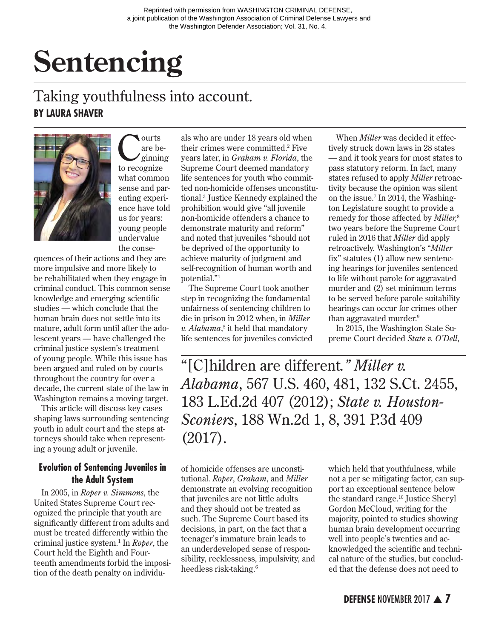# **Sentencing**

# Taking youthfulness into account. **BY LAURA SHAVER**



Courts<br>
are beginning<br>
to recognize are beto recognize what common sense and parenting experience have told us for years: young people undervalue the conse-

quences of their actions and they are more impulsive and more likely to be rehabilitated when they engage in criminal conduct. This common sense knowledge and emerging scientific studies — which conclude that the human brain does not settle into its mature, adult form until after the adolescent years — have challenged the criminal justice system's treatment of young people. While this issue has been argued and ruled on by courts throughout the country for over a decade, the current state of the law in Washington remains a moving target.

This article will discuss key cases shaping laws surrounding sentencing youth in adult court and the steps attorneys should take when representing a young adult or juvenile.

#### **Evolution of Sentencing Juveniles in the Adult System**

In 2005, in *Roper v. Simmons*, the United States Supreme Court recognized the principle that youth are significantly different from adults and must be treated differently within the criminal justice system.1 In *Roper*, the Court held the Eighth and Fourteenth amendments forbid the imposition of the death penalty on individu-

als who are under 18 years old when their crimes were committed.2 Five years later, in *Graham v. Florida*, the Supreme Court deemed mandatory life sentences for youth who committed non-homicide offenses unconstitutional.3 Justice Kennedy explained the prohibition would give "all juvenile non-homicide offenders a chance to demonstrate maturity and reform" and noted that juveniles "should not be deprived of the opportunity to achieve maturity of judgment and self-recognition of human worth and potential."4

The Supreme Court took another step in recognizing the fundamental unfairness of sentencing children to die in prison in 2012 when, in *Miller v. Alabama*, 5 it held that mandatory life sentences for juveniles convicted

When *Miller* was decided it effectively struck down laws in 28 states — and it took years for most states to pass statutory reform. In fact, many states refused to apply *Miller* retroactivity because the opinion was silent on the issue.7 In 2014, the Washington Legislature sought to provide a remedy for those affected by *Miller,*<sup>8</sup> two years before the Supreme Court ruled in 2016 that *Miller* did apply retroactively. Washington's "*Miller* fix" statutes (1) allow new sentencing hearings for juveniles sentenced to life without parole for aggravated murder and (2) set minimum terms to be served before parole suitability hearings can occur for crimes other than aggravated murder.<sup>9</sup>

In 2015, the Washington State Supreme Court decided *State v. O'Dell*,

"[C]hildren are different*." Miller v. Alabama*, 567 U.S. 460, 481, 132 S.Ct. 2455, 183 L.Ed.2d 407 (2012); *State v. Houston-Sconiers*, 188 Wn.2d 1, 8, 391 P.3d 409 (2017).

of homicide offenses are unconstitutional. *Roper*, *Graham*, and *Miller* demonstrate an evolving recognition that juveniles are not little adults and they should not be treated as such. The Supreme Court based its decisions, in part, on the fact that a teenager's immature brain leads to an underdeveloped sense of responsibility, recklessness, impulsivity, and heedless risk-taking.6

which held that youthfulness, while not a per se mitigating factor, can support an exceptional sentence below the standard range.<sup>10</sup> Justice Sheryl Gordon McCloud, writing for the majority, pointed to studies showing human brain development occurring well into people's twenties and acknowledged the scientific and technical nature of the studies, but concluded that the defense does not need to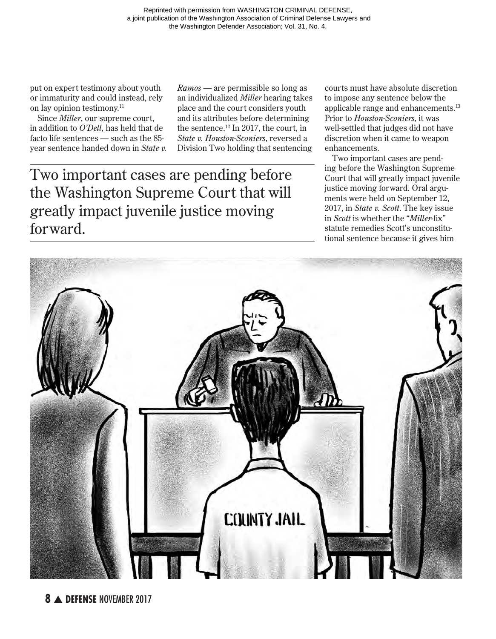put on expert testimony about youth or immaturity and could instead, rely on lay opinion testimony.11

Since *Miller*, our supreme court, in addition to *O'Dell*, has held that de facto life sentences — such as the 85 year sentence handed down in *State v.*  *Ramos —* are permissible so long as an individualized *Miller* hearing takes place and the court considers youth and its attributes before determining the sentence.12 In 2017, the court, in *State v. Houston-Sconiers*, reversed a Division Two holding that sentencing

Two important cases are pending before the Washington Supreme Court that will greatly impact juvenile justice moving forward.

courts must have absolute discretion to impose any sentence below the applicable range and enhancements.13 Prior to *Houston-Sconiers*, it was well-settled that judges did not have discretion when it came to weapon enhancements.

Two important cases are pending before the Washington Supreme Court that will greatly impact juvenile justice moving forward. Oral arguments were held on September 12, 2017, in *State v. Scott*. The key issue in *Scott* is whether the "*Miller*-fix" statute remedies Scott's unconstitutional sentence because it gives him

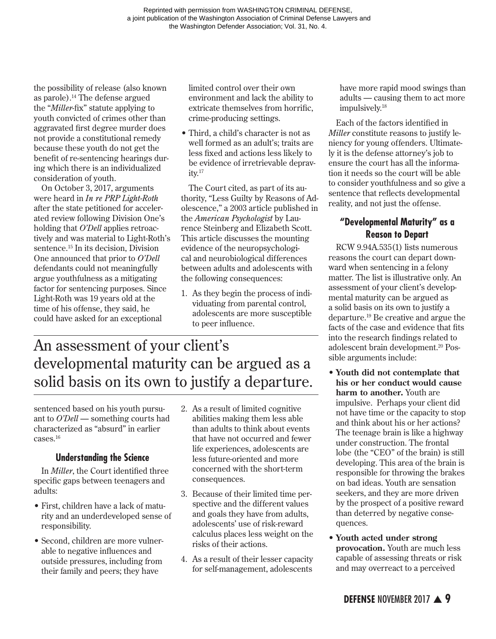Reprinted with permission from WASHINGTON CRIMINAL DEFENSE, a joint publication of the Washington Association of Criminal Defense Lawyers and the Washington Defender Association; Vol. 31, No. 4.

the possibility of release (also known as parole).14 The defense argued the "*Miller*-fix" statute applying to youth convicted of crimes other than aggravated first degree murder does not provide a constitutional remedy because these youth do not get the benefit of re-sentencing hearings during which there is an individualized consideration of youth.

On October 3, 2017, arguments were heard in *In re PRP Light-Roth* after the state petitioned for accelerated review following Division One's holding that *O'Dell* applies retroactively and was material to Light-Roth's sentence.15 In its decision, Division One announced that prior to *O'Dell* defendants could not meaningfully argue youthfulness as a mitigating factor for sentencing purposes. Since Light-Roth was 19 years old at the time of his offense, they said, he could have asked for an exceptional

limited control over their own environment and lack the ability to extricate themselves from horrific, crime-producing settings.

• Third, a child's character is not as well formed as an adult's; traits are less fixed and actions less likely to be evidence of irretrievable deprav $itv.<sup>17</sup>$ 

The Court cited, as part of its authority, "Less Guilty by Reasons of Adolescence," a 2003 article published in the *American Psychologist* by Laurence Steinberg and Elizabeth Scott. This article discusses the mounting evidence of the neuropsychological and neurobiological differences between adults and adolescents with the following consequences:

1. As they begin the process of individuating from parental control, adolescents are more susceptible to peer influence.

# An assessment of your client's developmental maturity can be argued as a solid basis on its own to justify a departure.

sentenced based on his youth pursuant to *O'Dell* — something courts had characterized as "absurd" in earlier cases.16

#### **Understanding the Science**

In *Miller*, the Court identified three specific gaps between teenagers and adults:

- First, children have a lack of maturity and an underdeveloped sense of responsibility.
- Second, children are more vulnerable to negative influences and outside pressures, including from their family and peers; they have
- 2. As a result of limited cognitive abilities making them less able than adults to think about events that have not occurred and fewer life experiences, adolescents are less future-oriented and more concerned with the short-term consequences.
- 3. Because of their limited time perspective and the different values and goals they have from adults, adolescents' use of risk-reward calculus places less weight on the risks of their actions.
- 4. As a result of their lesser capacity for self-management, adolescents

have more rapid mood swings than adults — causing them to act more impulsively.18

Each of the factors identified in *Miller* constitute reasons to justify leniency for young offenders. Ultimately it is the defense attorney's job to ensure the court has all the information it needs so the court will be able to consider youthfulness and so give a sentence that reflects developmental reality, and not just the offense.

## **"Developmental Maturity" as a Reason to Depart**

RCW 9.94A.535(1) lists numerous reasons the court can depart downward when sentencing in a felony matter. The list is illustrative only. An assessment of your client's developmental maturity can be argued as a solid basis on its own to justify a departure.19 Be creative and argue the facts of the case and evidence that fits into the research findings related to adolescent brain development.<sup>20</sup> Possible arguments include:

- **• Youth did not contemplate that his or her conduct would cause harm to another.** Youth are impulsive. Perhaps your client did not have time or the capacity to stop and think about his or her actions? The teenage brain is like a highway under construction. The frontal lobe (the "CEO" of the brain) is still developing. This area of the brain is responsible for throwing the brakes on bad ideas. Youth are sensation seekers, and they are more driven by the prospect of a positive reward than deterred by negative consequences.
- **• Youth acted under strong provocation.** Youth are much less capable of assessing threats or risk and may overreact to a perceived